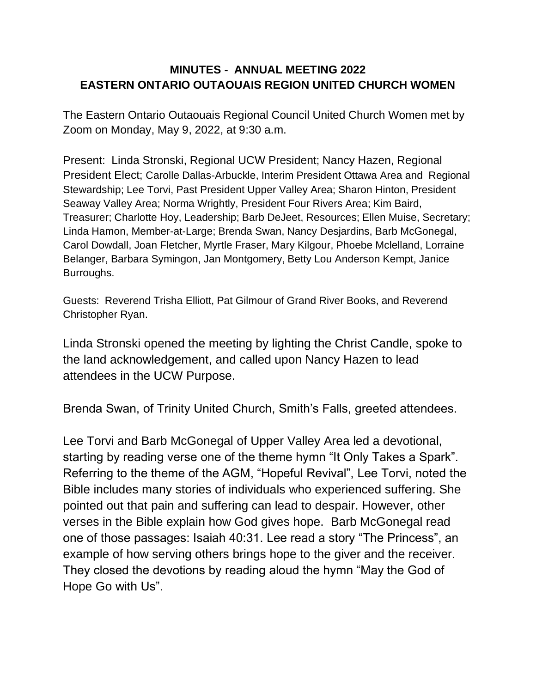## **MINUTES - ANNUAL MEETING 2022 EASTERN ONTARIO OUTAOUAIS REGION UNITED CHURCH WOMEN**

The Eastern Ontario Outaouais Regional Council United Church Women met by Zoom on Monday, May 9, 2022, at 9:30 a.m.

Present: Linda Stronski, Regional UCW President; Nancy Hazen, Regional President Elect; Carolle Dallas-Arbuckle, Interim President Ottawa Area and Regional Stewardship; Lee Torvi, Past President Upper Valley Area; Sharon Hinton, President Seaway Valley Area; Norma Wrightly, President Four Rivers Area; Kim Baird, Treasurer; Charlotte Hoy, Leadership; Barb DeJeet, Resources; Ellen Muise, Secretary; Linda Hamon, Member-at-Large; Brenda Swan, Nancy Desjardins, Barb McGonegal, Carol Dowdall, Joan Fletcher, Myrtle Fraser, Mary Kilgour, Phoebe Mclelland, Lorraine Belanger, Barbara Symingon, Jan Montgomery, Betty Lou Anderson Kempt, Janice Burroughs.

Guests: Reverend Trisha Elliott, Pat Gilmour of Grand River Books, and Reverend Christopher Ryan.

Linda Stronski opened the meeting by lighting the Christ Candle, spoke to the land acknowledgement, and called upon Nancy Hazen to lead attendees in the UCW Purpose.

Brenda Swan, of Trinity United Church, Smith's Falls, greeted attendees.

Lee Torvi and Barb McGonegal of Upper Valley Area led a devotional, starting by reading verse one of the theme hymn "It Only Takes a Spark". Referring to the theme of the AGM, "Hopeful Revival", Lee Torvi, noted the Bible includes many stories of individuals who experienced suffering. She pointed out that pain and suffering can lead to despair. However, other verses in the Bible explain how God gives hope. Barb McGonegal read one of those passages: Isaiah 40:31. Lee read a story "The Princess", an example of how serving others brings hope to the giver and the receiver. They closed the devotions by reading aloud the hymn "May the God of Hope Go with Us".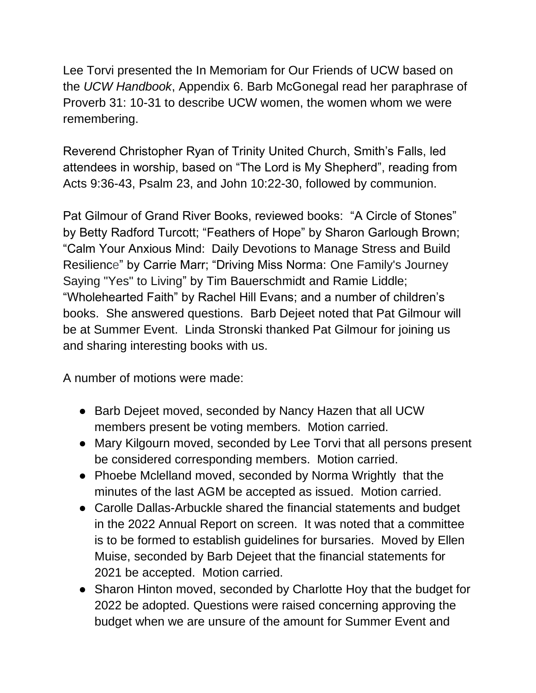Lee Torvi presented the In Memoriam for Our Friends of UCW based on the *UCW Handbook*, Appendix 6. Barb McGonegal read her paraphrase of Proverb 31: 10-31 to describe UCW women, the women whom we were remembering.

Reverend Christopher Ryan of Trinity United Church, Smith's Falls, led attendees in worship, based on "The Lord is My Shepherd", reading from Acts 9:36-43, Psalm 23, and John 10:22-30, followed by communion.

Pat Gilmour of Grand River Books, reviewed books: "A Circle of Stones" by Betty Radford Turcott; "Feathers of Hope" by Sharon Garlough Brown; "Calm Your Anxious Mind: Daily Devotions to Manage Stress and Build Resilience" by Carrie Marr; "Driving Miss Norma: One Family's Journey Saying "Yes" to Living" by [Tim Bauerschmidt](https://www.amazon.ca/Tim-Bauerschmidt/e/B01MUQWU1C/ref=dp_byline_cont_book_1) and [Ramie Liddle;](https://www.amazon.ca/s/ref=dp_byline_sr_book_2?ie=UTF8&field-author=Ramie+Liddle&text=Ramie+Liddle&sort=relevancerank&search-alias=books-ca) "Wholehearted Faith" by Rachel Hill Evans; and a number of children's books. She answered questions. Barb Dejeet noted that Pat Gilmour will be at Summer Event. Linda Stronski thanked Pat Gilmour for joining us and sharing interesting books with us.

A number of motions were made:

- Barb Dejeet moved, seconded by Nancy Hazen that all UCW members present be voting members. Motion carried.
- Mary Kilgourn moved, seconded by Lee Torvi that all persons present be considered corresponding members. Motion carried.
- Phoebe Mclelland moved, seconded by Norma Wrightly that the minutes of the last AGM be accepted as issued. Motion carried.
- Carolle Dallas-Arbuckle shared the financial statements and budget in the 2022 Annual Report on screen. It was noted that a committee is to be formed to establish guidelines for bursaries. Moved by Ellen Muise, seconded by Barb Dejeet that the financial statements for 2021 be accepted. Motion carried.
- Sharon Hinton moved, seconded by Charlotte Hoy that the budget for 2022 be adopted. Questions were raised concerning approving the budget when we are unsure of the amount for Summer Event and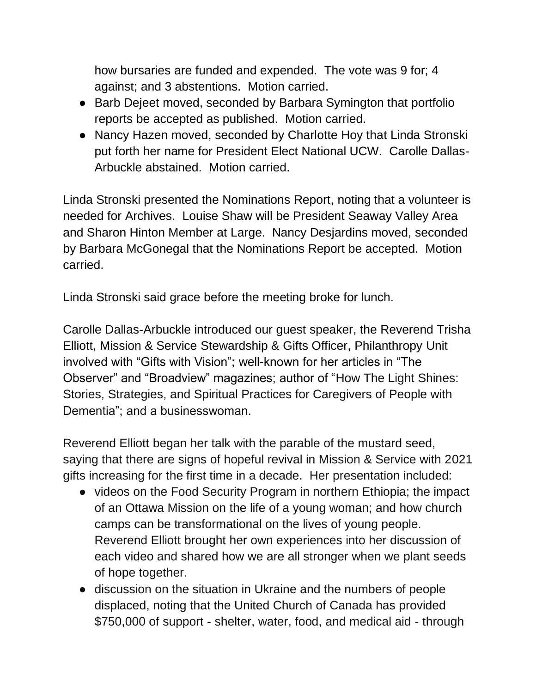how bursaries are funded and expended. The vote was 9 for; 4 against; and 3 abstentions. Motion carried.

- Barb Dejeet moved, seconded by Barbara Symington that portfolio reports be accepted as published. Motion carried.
- Nancy Hazen moved, seconded by Charlotte Hoy that Linda Stronski put forth her name for President Elect National UCW. Carolle Dallas-Arbuckle abstained. Motion carried.

Linda Stronski presented the Nominations Report, noting that a volunteer is needed for Archives. Louise Shaw will be President Seaway Valley Area and Sharon Hinton Member at Large. Nancy Desjardins moved, seconded by Barbara McGonegal that the Nominations Report be accepted. Motion carried.

Linda Stronski said grace before the meeting broke for lunch.

Carolle Dallas-Arbuckle introduced our guest speaker, the Reverend Trisha Elliott, Mission & Service Stewardship & Gifts Officer, Philanthropy Unit involved with "Gifts with Vision"; well-known for her articles in "The Observer" and "Broadview" magazines; author of "How The Light Shines: Stories, Strategies, and Spiritual Practices for Caregivers of People with Dementia"; and a businesswoman.

Reverend Elliott began her talk with the parable of the mustard seed, saying that there are signs of hopeful revival in Mission & Service with 2021 gifts increasing for the first time in a decade. Her presentation included:

- videos on the Food Security Program in northern Ethiopia; the impact of an Ottawa Mission on the life of a young woman; and how church camps can be transformational on the lives of young people. Reverend Elliott brought her own experiences into her discussion of each video and shared how we are all stronger when we plant seeds of hope together.
- discussion on the situation in Ukraine and the numbers of people displaced, noting that the United Church of Canada has provided \$750,000 of support - shelter, water, food, and medical aid - through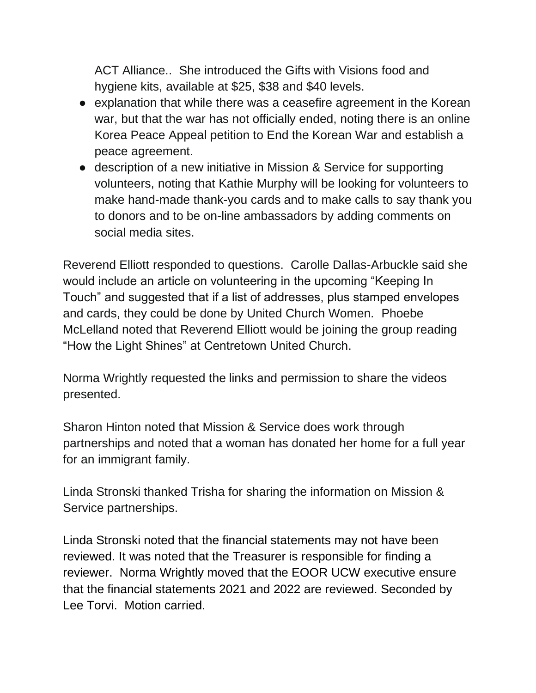ACT Alliance.. She introduced the Gifts with Visions food and hygiene kits, available at \$25, \$38 and \$40 levels.

- explanation that while there was a ceasefire agreement in the Korean war, but that the war has not officially ended, noting there is an online Korea Peace Appeal petition to End the Korean War and establish a peace agreement.
- description of a new initiative in Mission & Service for supporting volunteers, noting that Kathie Murphy will be looking for volunteers to make hand-made thank-you cards and to make calls to say thank you to donors and to be on-line ambassadors by adding comments on social media sites.

Reverend Elliott responded to questions. Carolle Dallas-Arbuckle said she would include an article on volunteering in the upcoming "Keeping In Touch" and suggested that if a list of addresses, plus stamped envelopes and cards, they could be done by United Church Women. Phoebe McLelland noted that Reverend Elliott would be joining the group reading "How the Light Shines" at Centretown United Church.

Norma Wrightly requested the links and permission to share the videos presented.

Sharon Hinton noted that Mission & Service does work through partnerships and noted that a woman has donated her home for a full year for an immigrant family.

Linda Stronski thanked Trisha for sharing the information on Mission & Service partnerships.

Linda Stronski noted that the financial statements may not have been reviewed. It was noted that the Treasurer is responsible for finding a reviewer. Norma Wrightly moved that the EOOR UCW executive ensure that the financial statements 2021 and 2022 are reviewed. Seconded by Lee Torvi. Motion carried.